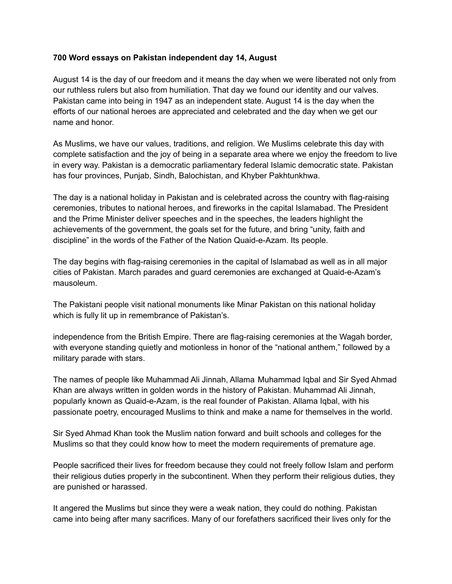## **700 Word essays on Pakistan independent day 14, August**

August 14 is the day of our freedom and it means the day when we were liberated not only from our ruthless rulers but also from humiliation. That day we found our identity and our valves. Pakistan came into being in 1947 as an independent state. August 14 is the day when the efforts of our national heroes are appreciated and celebrated and the day when we get our name and honor.

As Muslims, we have our values, traditions, and religion. We Muslims celebrate this day with complete satisfaction and the joy of being in a separate area where we enjoy the freedom to live in every way. Pakistan is a democratic parliamentary federal Islamic democratic state. Pakistan has four provinces, Punjab, Sindh, Balochistan, and Khyber Pakhtunkhwa.

The day is a national holiday in Pakistan and is celebrated across the country with flag-raising ceremonies, tributes to national heroes, and fireworks in the capital Islamabad. The President and the Prime Minister deliver speeches and in the speeches, the leaders highlight the achievements of the government, the goals set for the future, and bring "unity, faith and discipline" in the words of the Father of the Nation Quaid-e-Azam. Its people.

The day begins with flag-raising ceremonies in the capital of Islamabad as well as in all major cities of Pakistan. March parades and guard ceremonies are exchanged at Quaid-e-Azam's mausoleum.

The Pakistani people visit national monuments like Minar Pakistan on this national holiday which is fully lit up in remembrance of Pakistan's.

independence from the British Empire. There are flag-raising ceremonies at the Wagah border, with everyone standing quietly and motionless in honor of the "national anthem," followed by a military parade with stars.

The names of people like Muhammad Ali Jinnah, Allama Muhammad Iqbal and Sir Syed Ahmad Khan are always written in golden words in the history of Pakistan. Muhammad Ali Jinnah, popularly known as Quaid-e-Azam, is the real founder of Pakistan. Allama Iqbal, with his passionate poetry, encouraged Muslims to think and make a name for themselves in the world.

Sir Syed Ahmad Khan took the Muslim nation forward and built schools and colleges for the Muslims so that they could know how to meet the modern requirements of premature age.

People sacrificed their lives for freedom because they could not freely follow Islam and perform their religious duties properly in the subcontinent. When they perform their religious duties, they are punished or harassed.

It angered the Muslims but since they were a weak nation, they could do nothing. Pakistan came into being after many sacrifices. Many of our forefathers sacrificed their lives only for the